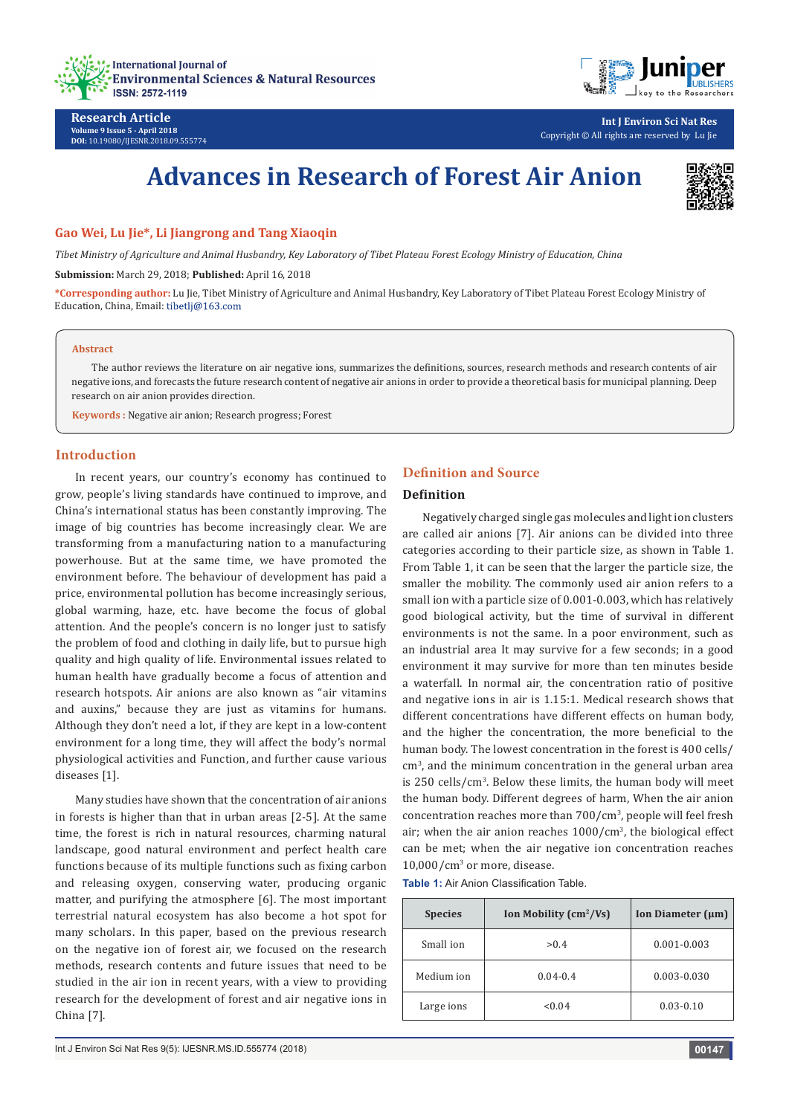



**Int J Environ Sci Nat Res** Copyright © All rights are reserved by Lu Jie

# **Advances in Research of Forest Air Anion**



# **Gao Wei, Lu Jie\*, Li Jiangrong and Tang Xiaoqin**

*Tibet Ministry of Agriculture and Animal Husbandry, Key Laboratory of Tibet Plateau Forest Ecology Ministry of Education, China*

**Submission:** March 29, 2018; **Published:** April 16, 2018

**\*Corresponding author:** Lu Jie, Tibet Ministry of Agriculture and Animal Husbandry, Key Laboratory of Tibet Plateau Forest Ecology Ministry of Education, China, Email: tibetlj@163.com

#### **Abstract**

**Research Article Volume 9 Issue 5 - April 2018 DOI:** [10.19080/IJESNR.2018.09.555774](http://dx.doi.org/10.19080/IJESNR.2018.09.555774)

The author reviews the literature on air negative ions, summarizes the definitions, sources, research methods and research contents of air negative ions, and forecasts the future research content of negative air anions in order to provide a theoretical basis for municipal planning. Deep research on air anion provides direction.

**Keywords :** Negative air anion; Research progress; Forest

# **Introduction**

In recent years, our country's economy has continued to grow, people's living standards have continued to improve, and China's international status has been constantly improving. The image of big countries has become increasingly clear. We are transforming from a manufacturing nation to a manufacturing powerhouse. But at the same time, we have promoted the environment before. The behaviour of development has paid a price, environmental pollution has become increasingly serious, global warming, haze, etc. have become the focus of global attention. And the people's concern is no longer just to satisfy the problem of food and clothing in daily life, but to pursue high quality and high quality of life. Environmental issues related to human health have gradually become a focus of attention and research hotspots. Air anions are also known as "air vitamins and auxins," because they are just as vitamins for humans. Although they don't need a lot, if they are kept in a low-content environment for a long time, they will affect the body's normal physiological activities and Function, and further cause various diseases [1].

Many studies have shown that the concentration of air anions in forests is higher than that in urban areas [2-5]. At the same time, the forest is rich in natural resources, charming natural landscape, good natural environment and perfect health care functions because of its multiple functions such as fixing carbon and releasing oxygen, conserving water, producing organic matter, and purifying the atmosphere [6]. The most important terrestrial natural ecosystem has also become a hot spot for many scholars. In this paper, based on the previous research on the negative ion of forest air, we focused on the research methods, research contents and future issues that need to be studied in the air ion in recent years, with a view to providing research for the development of forest and air negative ions in China [7].

# **Definition and Source**

#### **Definition**

Negatively charged single gas molecules and light ion clusters are called air anions [7]. Air anions can be divided into three categories according to their particle size, as shown in Table 1. From Table 1, it can be seen that the larger the particle size, the smaller the mobility. The commonly used air anion refers to a small ion with a particle size of 0.001-0.003, which has relatively good biological activity, but the time of survival in different environments is not the same. In a poor environment, such as an industrial area It may survive for a few seconds; in a good environment it may survive for more than ten minutes beside a waterfall. In normal air, the concentration ratio of positive and negative ions in air is 1.15:1. Medical research shows that different concentrations have different effects on human body, and the higher the concentration, the more beneficial to the human body. The lowest concentration in the forest is 400 cells/ cm<sup>3</sup>, and the minimum concentration in the general urban area is 250 cells/cm<sup>3</sup> . Below these limits, the human body will meet the human body. Different degrees of harm, When the air anion concentration reaches more than 700/cm<sup>3</sup>, people will feel fresh air; when the air anion reaches 1000/cm<sup>3</sup>, the biological effect can be met; when the air negative ion concentration reaches  $10,000/cm<sup>3</sup>$  or more, disease.

**Table 1:** Air Anion Classification Table.

| <b>Species</b> | Ion Mobility $\text{cm}^2/\text{Vs}$ | Ion Diameter $(\mu m)$ |
|----------------|--------------------------------------|------------------------|
| Small ion      | > 0.4                                | $0.001 - 0.003$        |
| Medium ion     | $0.04 - 0.4$                         | $0.003 - 0.030$        |
| Large ions     | < 0.04                               | $0.03 - 0.10$          |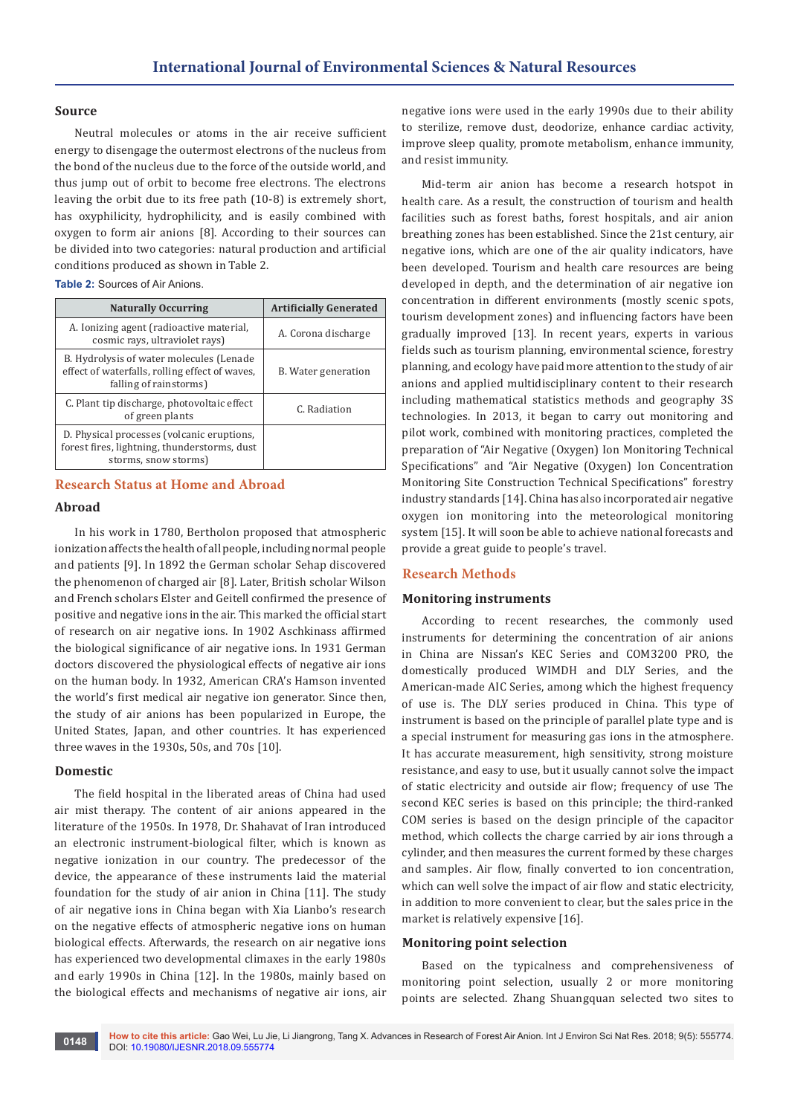### **Source**

Neutral molecules or atoms in the air receive sufficient energy to disengage the outermost electrons of the nucleus from the bond of the nucleus due to the force of the outside world, and thus jump out of orbit to become free electrons. The electrons leaving the orbit due to its free path (10-8) is extremely short, has oxyphilicity, hydrophilicity, and is easily combined with oxygen to form air anions [8]. According to their sources can be divided into two categories: natural production and artificial conditions produced as shown in Table 2.

**Table 2:** Sources of Air Anions.

| <b>Naturally Occurring</b>                                                                                           | <b>Artificially Generated</b> |
|----------------------------------------------------------------------------------------------------------------------|-------------------------------|
| A. Ionizing agent (radioactive material,<br>cosmic rays, ultraviolet rays)                                           | A. Corona discharge           |
| B. Hydrolysis of water molecules (Lenade<br>effect of waterfalls, rolling effect of waves,<br>falling of rainstorms) | B. Water generation           |
| C. Plant tip discharge, photovoltaic effect<br>of green plants                                                       | C. Radiation                  |
| D. Physical processes (volcanic eruptions,<br>forest fires, lightning, thunderstorms, dust<br>storms, snow storms)   |                               |

# **Research Status at Home and Abroad**

### **Abroad**

In his work in 1780, Bertholon proposed that atmospheric ionization affects the health of all people, including normal people and patients [9]. In 1892 the German scholar Sehap discovered the phenomenon of charged air [8]. Later, British scholar Wilson and French scholars Elster and Geitell confirmed the presence of positive and negative ions in the air. This marked the official start of research on air negative ions. In 1902 Aschkinass affirmed the biological significance of air negative ions. In 1931 German doctors discovered the physiological effects of negative air ions on the human body. In 1932, American CRA's Hamson invented the world's first medical air negative ion generator. Since then, the study of air anions has been popularized in Europe, the United States, Japan, and other countries. It has experienced three waves in the 1930s, 50s, and 70s [10].

#### **Domestic**

The field hospital in the liberated areas of China had used air mist therapy. The content of air anions appeared in the literature of the 1950s. In 1978, Dr. Shahavat of Iran introduced an electronic instrument-biological filter, which is known as negative ionization in our country. The predecessor of the device, the appearance of these instruments laid the material foundation for the study of air anion in China [11]. The study of air negative ions in China began with Xia Lianbo's research on the negative effects of atmospheric negative ions on human biological effects. Afterwards, the research on air negative ions has experienced two developmental climaxes in the early 1980s and early 1990s in China [12]. In the 1980s, mainly based on the biological effects and mechanisms of negative air ions, air negative ions were used in the early 1990s due to their ability to sterilize, remove dust, deodorize, enhance cardiac activity, improve sleep quality, promote metabolism, enhance immunity, and resist immunity.

Mid-term air anion has become a research hotspot in health care. As a result, the construction of tourism and health facilities such as forest baths, forest hospitals, and air anion breathing zones has been established. Since the 21st century, air negative ions, which are one of the air quality indicators, have been developed. Tourism and health care resources are being developed in depth, and the determination of air negative ion concentration in different environments (mostly scenic spots, tourism development zones) and influencing factors have been gradually improved [13]. In recent years, experts in various fields such as tourism planning, environmental science, forestry planning, and ecology have paid more attention to the study of air anions and applied multidisciplinary content to their research including mathematical statistics methods and geography 3S technologies. In 2013, it began to carry out monitoring and pilot work, combined with monitoring practices, completed the preparation of "Air Negative (Oxygen) Ion Monitoring Technical Specifications" and "Air Negative (Oxygen) Ion Concentration Monitoring Site Construction Technical Specifications" forestry industry standards [14]. China has also incorporated air negative oxygen ion monitoring into the meteorological monitoring system [15]. It will soon be able to achieve national forecasts and provide a great guide to people's travel.

## **Research Methods**

# **Monitoring instruments**

According to recent researches, the commonly used instruments for determining the concentration of air anions in China are Nissan's KEC Series and COM3200 PRO, the domestically produced WIMDH and DLY Series, and the American-made AIC Series, among which the highest frequency of use is. The DLY series produced in China. This type of instrument is based on the principle of parallel plate type and is a special instrument for measuring gas ions in the atmosphere. It has accurate measurement, high sensitivity, strong moisture resistance, and easy to use, but it usually cannot solve the impact of static electricity and outside air flow; frequency of use The second KEC series is based on this principle; the third-ranked COM series is based on the design principle of the capacitor method, which collects the charge carried by air ions through a cylinder, and then measures the current formed by these charges and samples. Air flow, finally converted to ion concentration, which can well solve the impact of air flow and static electricity, in addition to more convenient to clear, but the sales price in the market is relatively expensive [16].

#### **Monitoring point selection**

Based on the typicalness and comprehensiveness of monitoring point selection, usually 2 or more monitoring points are selected. Zhang Shuangquan selected two sites to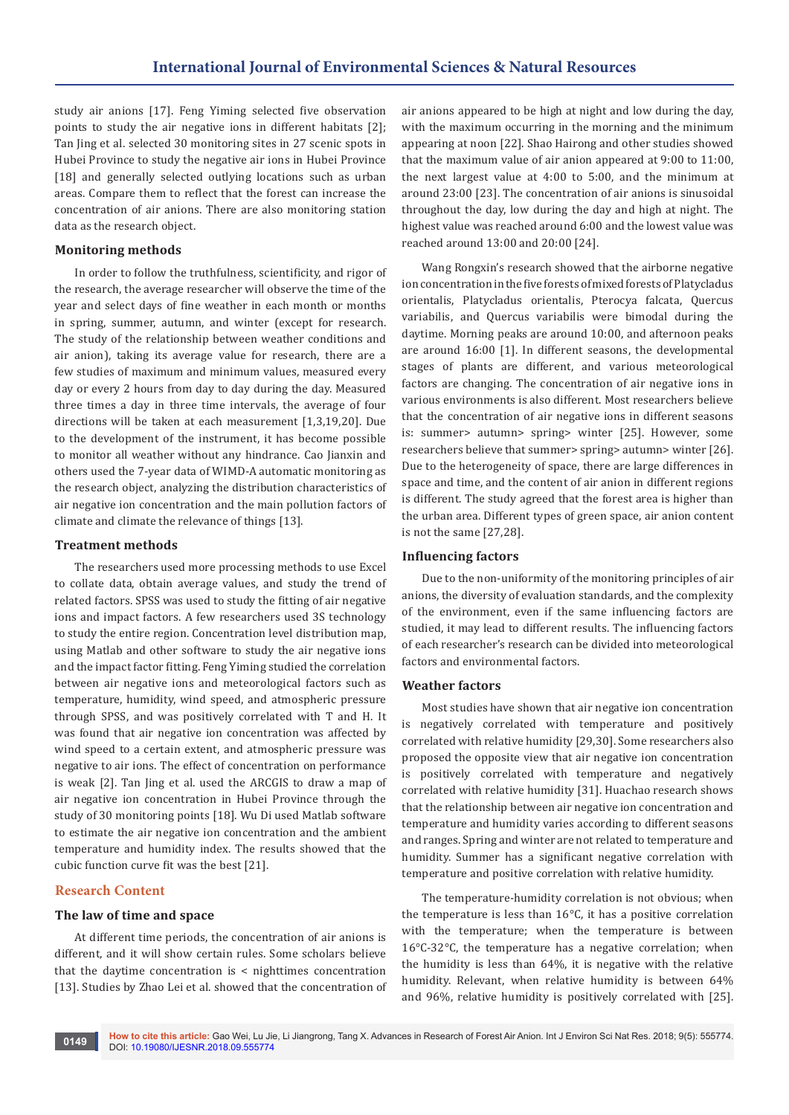study air anions [17]. Feng Yiming selected five observation points to study the air negative ions in different habitats [2]; Tan Jing et al. selected 30 monitoring sites in 27 scenic spots in Hubei Province to study the negative air ions in Hubei Province [18] and generally selected outlying locations such as urban areas. Compare them to reflect that the forest can increase the concentration of air anions. There are also monitoring station data as the research object.

## **Monitoring methods**

In order to follow the truthfulness, scientificity, and rigor of the research, the average researcher will observe the time of the year and select days of fine weather in each month or months in spring, summer, autumn, and winter (except for research. The study of the relationship between weather conditions and air anion), taking its average value for research, there are a few studies of maximum and minimum values, measured every day or every 2 hours from day to day during the day. Measured three times a day in three time intervals, the average of four directions will be taken at each measurement [1,3,19,20]. Due to the development of the instrument, it has become possible to monitor all weather without any hindrance. Cao Jianxin and others used the 7-year data of WIMD-A automatic monitoring as the research object, analyzing the distribution characteristics of air negative ion concentration and the main pollution factors of climate and climate the relevance of things [13].

## **Treatment methods**

The researchers used more processing methods to use Excel to collate data, obtain average values, and study the trend of related factors. SPSS was used to study the fitting of air negative ions and impact factors. A few researchers used 3S technology to study the entire region. Concentration level distribution map, using Matlab and other software to study the air negative ions and the impact factor fitting. Feng Yiming studied the correlation between air negative ions and meteorological factors such as temperature, humidity, wind speed, and atmospheric pressure through SPSS, and was positively correlated with T and H. It was found that air negative ion concentration was affected by wind speed to a certain extent, and atmospheric pressure was negative to air ions. The effect of concentration on performance is weak [2]. Tan Jing et al. used the ARCGIS to draw a map of air negative ion concentration in Hubei Province through the study of 30 monitoring points [18]. Wu Di used Matlab software to estimate the air negative ion concentration and the ambient temperature and humidity index. The results showed that the cubic function curve fit was the best [21].

## **Research Content**

### **The law of time and space**

At different time periods, the concentration of air anions is different, and it will show certain rules. Some scholars believe that the daytime concentration is < nighttimes concentration [13]. Studies by Zhao Lei et al. showed that the concentration of air anions appeared to be high at night and low during the day, with the maximum occurring in the morning and the minimum appearing at noon [22]. Shao Hairong and other studies showed that the maximum value of air anion appeared at 9:00 to 11:00, the next largest value at 4:00 to 5:00, and the minimum at around 23:00 [23]. The concentration of air anions is sinusoidal throughout the day, low during the day and high at night. The highest value was reached around 6:00 and the lowest value was reached around 13:00 and 20:00 [24].

Wang Rongxin's research showed that the airborne negative ion concentration in the five forests of mixed forests of Platycladus orientalis, Platycladus orientalis, Pterocya falcata, Quercus variabilis, and Quercus variabilis were bimodal during the daytime. Morning peaks are around 10:00, and afternoon peaks are around 16:00 [1]. In different seasons, the developmental stages of plants are different, and various meteorological factors are changing. The concentration of air negative ions in various environments is also different. Most researchers believe that the concentration of air negative ions in different seasons is: summer> autumn> spring> winter [25]. However, some researchers believe that summer> spring> autumn> winter [26]. Due to the heterogeneity of space, there are large differences in space and time, and the content of air anion in different regions is different. The study agreed that the forest area is higher than the urban area. Different types of green space, air anion content is not the same [27,28].

## **Influencing factors**

Due to the non-uniformity of the monitoring principles of air anions, the diversity of evaluation standards, and the complexity of the environment, even if the same influencing factors are studied, it may lead to different results. The influencing factors of each researcher's research can be divided into meteorological factors and environmental factors.

#### **Weather factors**

Most studies have shown that air negative ion concentration is negatively correlated with temperature and positively correlated with relative humidity [29,30]. Some researchers also proposed the opposite view that air negative ion concentration is positively correlated with temperature and negatively correlated with relative humidity [31]. Huachao research shows that the relationship between air negative ion concentration and temperature and humidity varies according to different seasons and ranges. Spring and winter are not related to temperature and humidity. Summer has a significant negative correlation with temperature and positive correlation with relative humidity.

The temperature-humidity correlation is not obvious; when the temperature is less than 16°C, it has a positive correlation with the temperature; when the temperature is between 16°C-32°C, the temperature has a negative correlation; when the humidity is less than 64%, it is negative with the relative humidity. Relevant, when relative humidity is between 64% and 96%, relative humidity is positively correlated with [25].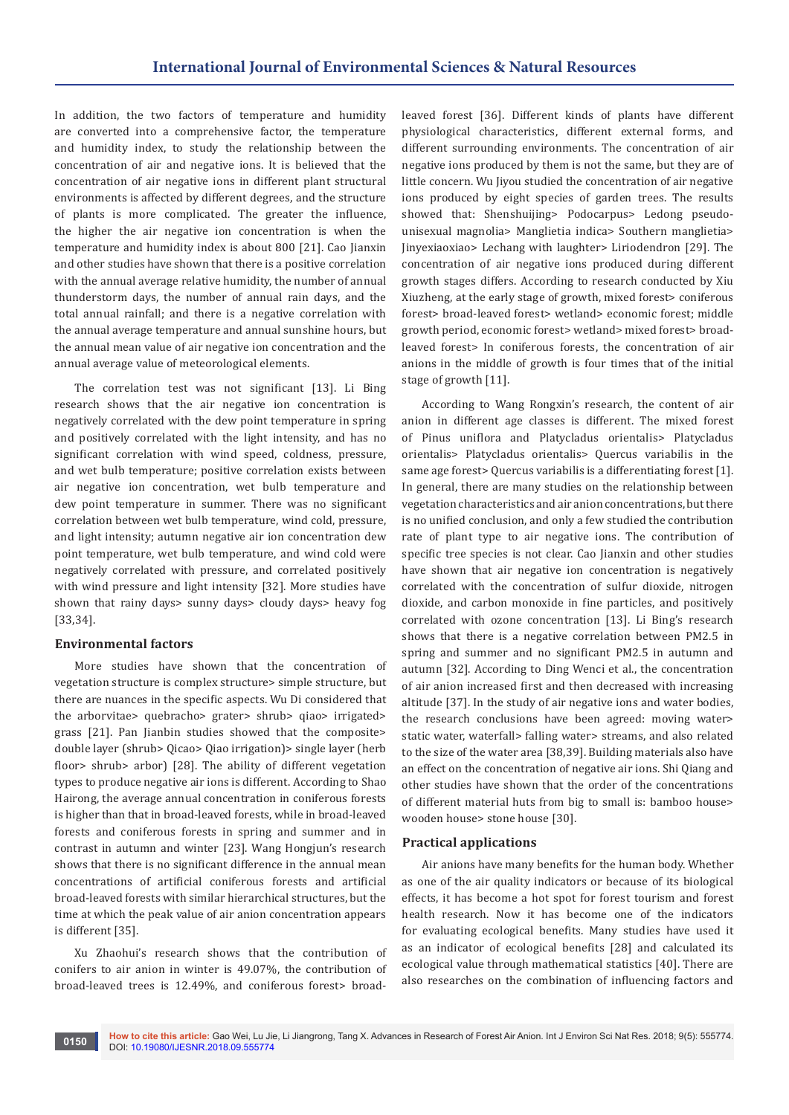In addition, the two factors of temperature and humidity are converted into a comprehensive factor, the temperature and humidity index, to study the relationship between the concentration of air and negative ions. It is believed that the concentration of air negative ions in different plant structural environments is affected by different degrees, and the structure of plants is more complicated. The greater the influence, the higher the air negative ion concentration is when the temperature and humidity index is about 800 [21]. Cao Jianxin and other studies have shown that there is a positive correlation with the annual average relative humidity, the number of annual thunderstorm days, the number of annual rain days, and the total annual rainfall; and there is a negative correlation with the annual average temperature and annual sunshine hours, but the annual mean value of air negative ion concentration and the annual average value of meteorological elements.

The correlation test was not significant [13]. Li Bing research shows that the air negative ion concentration is negatively correlated with the dew point temperature in spring and positively correlated with the light intensity, and has no significant correlation with wind speed, coldness, pressure, and wet bulb temperature; positive correlation exists between air negative ion concentration, wet bulb temperature and dew point temperature in summer. There was no significant correlation between wet bulb temperature, wind cold, pressure, and light intensity; autumn negative air ion concentration dew point temperature, wet bulb temperature, and wind cold were negatively correlated with pressure, and correlated positively with wind pressure and light intensity [32]. More studies have shown that rainy days> sunny days> cloudy days> heavy fog [33,34].

# **Environmental factors**

More studies have shown that the concentration of vegetation structure is complex structure> simple structure, but there are nuances in the specific aspects. Wu Di considered that the arborvitae> quebracho> grater> shrub> qiao> irrigated> grass [21]. Pan Jianbin studies showed that the composite> double layer (shrub> Qicao> Qiao irrigation)> single layer (herb floor> shrub> arbor) [28]. The ability of different vegetation types to produce negative air ions is different. According to Shao Hairong, the average annual concentration in coniferous forests is higher than that in broad-leaved forests, while in broad-leaved forests and coniferous forests in spring and summer and in contrast in autumn and winter [23]. Wang Hongjun's research shows that there is no significant difference in the annual mean concentrations of artificial coniferous forests and artificial broad-leaved forests with similar hierarchical structures, but the time at which the peak value of air anion concentration appears is different [35].

Xu Zhaohui's research shows that the contribution of conifers to air anion in winter is 49.07%, the contribution of broad-leaved trees is 12.49%, and coniferous forest> broad-

leaved forest [36]. Different kinds of plants have different physiological characteristics, different external forms, and different surrounding environments. The concentration of air negative ions produced by them is not the same, but they are of little concern. Wu Jiyou studied the concentration of air negative ions produced by eight species of garden trees. The results showed that: Shenshuijing> Podocarpus> Ledong pseudounisexual magnolia> Manglietia indica> Southern manglietia> Jinyexiaoxiao> Lechang with laughter> Liriodendron [29]. The concentration of air negative ions produced during different growth stages differs. According to research conducted by Xiu Xiuzheng, at the early stage of growth, mixed forest> coniferous forest> broad-leaved forest> wetland> economic forest; middle growth period, economic forest> wetland> mixed forest> broadleaved forest> In coniferous forests, the concentration of air anions in the middle of growth is four times that of the initial stage of growth [11].

According to Wang Rongxin's research, the content of air anion in different age classes is different. The mixed forest of Pinus uniflora and Platycladus orientalis> Platycladus orientalis> Platycladus orientalis> Quercus variabilis in the same age forest> Quercus variabilis is a differentiating forest [1]. In general, there are many studies on the relationship between vegetation characteristics and air anion concentrations, but there is no unified conclusion, and only a few studied the contribution rate of plant type to air negative ions. The contribution of specific tree species is not clear. Cao Jianxin and other studies have shown that air negative ion concentration is negatively correlated with the concentration of sulfur dioxide, nitrogen dioxide, and carbon monoxide in fine particles, and positively correlated with ozone concentration [13]. Li Bing's research shows that there is a negative correlation between PM2.5 in spring and summer and no significant PM2.5 in autumn and autumn [32]. According to Ding Wenci et al., the concentration of air anion increased first and then decreased with increasing altitude [37]. In the study of air negative ions and water bodies, the research conclusions have been agreed: moving water> static water, waterfall> falling water> streams, and also related to the size of the water area [38,39]. Building materials also have an effect on the concentration of negative air ions. Shi Qiang and other studies have shown that the order of the concentrations of different material huts from big to small is: bamboo house> wooden house> stone house [30].

## **Practical applications**

Air anions have many benefits for the human body. Whether as one of the air quality indicators or because of its biological effects, it has become a hot spot for forest tourism and forest health research. Now it has become one of the indicators for evaluating ecological benefits. Many studies have used it as an indicator of ecological benefits [28] and calculated its ecological value through mathematical statistics [40]. There are also researches on the combination of influencing factors and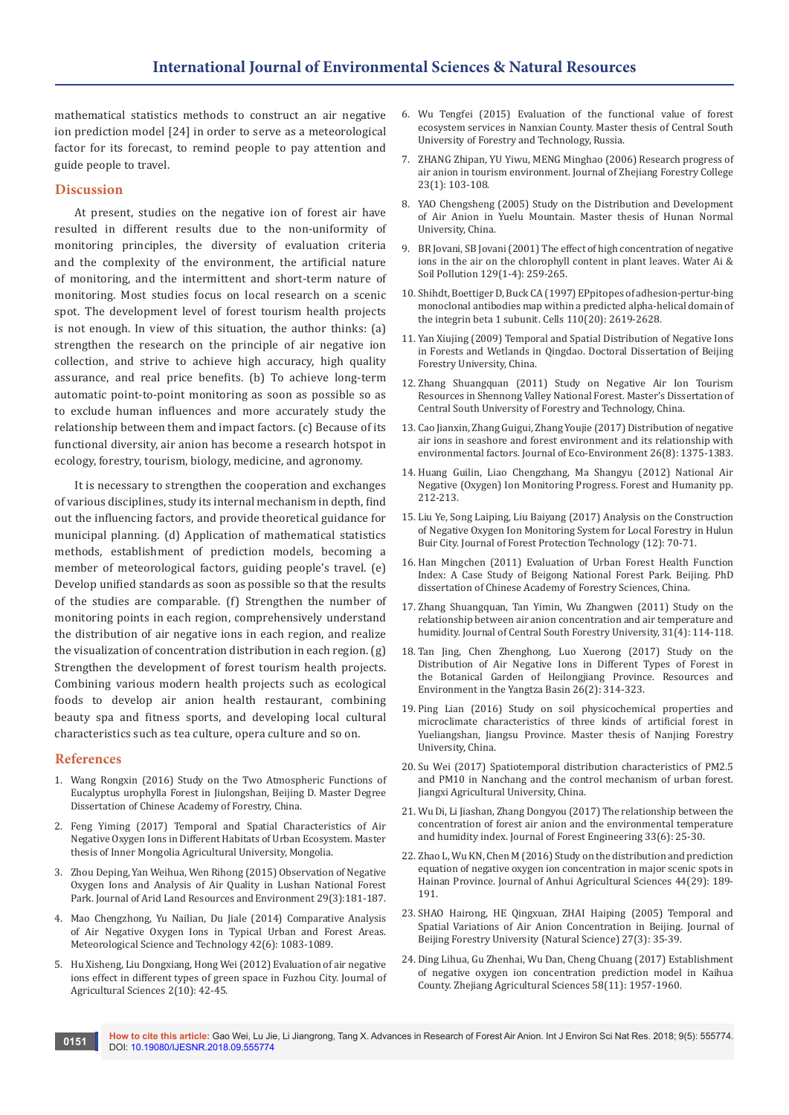mathematical statistics methods to construct an air negative ion prediction model [24] in order to serve as a meteorological factor for its forecast, to remind people to pay attention and guide people to travel.

#### **Discussion**

At present, studies on the negative ion of forest air have resulted in different results due to the non-uniformity of monitoring principles, the diversity of evaluation criteria and the complexity of the environment, the artificial nature of monitoring, and the intermittent and short-term nature of monitoring. Most studies focus on local research on a scenic spot. The development level of forest tourism health projects is not enough. In view of this situation, the author thinks: (a) strengthen the research on the principle of air negative ion collection, and strive to achieve high accuracy, high quality assurance, and real price benefits. (b) To achieve long-term automatic point-to-point monitoring as soon as possible so as to exclude human influences and more accurately study the relationship between them and impact factors. (c) Because of its functional diversity, air anion has become a research hotspot in ecology, forestry, tourism, biology, medicine, and agronomy.

It is necessary to strengthen the cooperation and exchanges of various disciplines, study its internal mechanism in depth, find out the influencing factors, and provide theoretical guidance for municipal planning. (d) Application of mathematical statistics methods, establishment of prediction models, becoming a member of meteorological factors, guiding people's travel. (e) Develop unified standards as soon as possible so that the results of the studies are comparable. (f) Strengthen the number of monitoring points in each region, comprehensively understand the distribution of air negative ions in each region, and realize the visualization of concentration distribution in each region. (g) Strengthen the development of forest tourism health projects. Combining various modern health projects such as ecological foods to develop air anion health restaurant, combining beauty spa and fitness sports, and developing local cultural characteristics such as tea culture, opera culture and so on.

#### **References**

- 1. Wang Rongxin (2016) Study on the Two Atmospheric Functions of Eucalyptus urophylla Forest in Jiulongshan, Beijing D. Master Degree Dissertation of Chinese Academy of Forestry, China.
- 2. Feng Yiming (2017) Temporal and Spatial Characteristics of Air Negative Oxygen Ions in Different Habitats of Urban Ecosystem. Master thesis of Inner Mongolia Agricultural University, Mongolia.
- 3. Zhou Deping, Yan Weihua, Wen Rihong (2015) Observation of Negative Oxygen Ions and Analysis of Air Quality in Lushan National Forest Park. Journal of Arid Land Resources and Environment 29(3):181-187.
- 4. Mao Chengzhong, Yu Nailian, Du Jiale (2014) Comparative Analysis of Air Negative Oxygen Ions in Typical Urban and Forest Areas. Meteorological Science and Technology 42(6): 1083-1089.
- 5. Hu Xisheng, Liu Dongxiang, Hong Wei (2012) Evaluation of air negative ions effect in different types of green space in Fuzhou City. Journal of Agricultural Sciences 2(10): 42-45.
- 6. Wu Tengfei (2015) Evaluation of the functional value of forest ecosystem services in Nanxian County. Master thesis of Central South University of Forestry and Technology, Russia.
- 7. ZHANG Zhipan, YU Yiwu, MENG Minghao (2006) Research progress of air anion in tourism environment. Journal of Zhejiang Forestry College 23(1): 103-108.
- 8. YAO Chengsheng (2005) Study on the Distribution and Development of Air Anion in Yuelu Mountain. Master thesis of Hunan Normal University, China.
- 9. [BR Jovani, SB Jovani \(2001\) The effect of high concentration of negative](https://link.springer.com/article/10.1023/A:1010322317568)  [ions in the air on the chlorophyll content in plant leaves. Water Ai &](https://link.springer.com/article/10.1023/A:1010322317568)  [Soil Pollution 129\(1-4\): 259-265.](https://link.springer.com/article/10.1023/A:1010322317568)
- 10. [Shihdt, Boettiger D, Buck CA \(1997\) EPpitopes of adhesion-pertur-bing](https://www.ncbi.nlm.nih.gov/pubmed/9372451)  [monoclonal antibodies map within a predicted alpha-helical domain of](https://www.ncbi.nlm.nih.gov/pubmed/9372451)  [the integrin beta 1 subunit. Cells 110\(20\): 2619-2628.](https://www.ncbi.nlm.nih.gov/pubmed/9372451)
- 11. Yan Xiujing (2009) Temporal and Spatial Distribution of Negative Ions in Forests and Wetlands in Qingdao. Doctoral Dissertation of Beijing Forestry University, China.
- 12. Zhang Shuangquan (2011) Study on Negative Air Ion Tourism Resources in Shennong Valley National Forest. Master's Dissertation of Central South University of Forestry and Technology, China.
- 13. Cao Jianxin, Zhang Guigui, Zhang Youjie (2017) Distribution of negative air ions in seashore and forest environment and its relationship with environmental factors. Journal of Eco-Environment 26(8): 1375-1383.
- 14. Huang Guilin, Liao Chengzhang, Ma Shangyu (2012) National Air Negative (Oxygen) Ion Monitoring Progress. Forest and Humanity pp. 212-213.
- 15. Liu Ye, Song Laiping, Liu Baiyang (2017) Analysis on the Construction of Negative Oxygen Ion Monitoring System for Local Forestry in Hulun Buir City. Journal of Forest Protection Technology (12): 70-71.
- 16. Han Mingchen (2011) Evaluation of Urban Forest Health Function Index: A Case Study of Beigong National Forest Park. Beijing. PhD dissertation of Chinese Academy of Forestry Sciences, China.
- 17. Zhang Shuangquan, Tan Yimin, Wu Zhangwen (2011) Study on the relationship between air anion concentration and air temperature and humidity. Journal of Central South Forestry University, 31(4): 114-118.
- 18. Tan Jing, Chen Zhenghong, Luo Xuerong (2017) Study on the Distribution of Air Negative Ions in Different Types of Forest in the Botanical Garden of Heilongjiang Province. Resources and Environment in the Yangtza Basin 26(2): 314-323.
- 19. Ping Lian (2016) Study on soil physicochemical properties and microclimate characteristics of three kinds of artificial forest in Yueliangshan, Jiangsu Province. Master thesis of Nanjing Forestry University, China.
- 20. Su Wei (2017) Spatiotemporal distribution characteristics of PM2.5 and PM10 in Nanchang and the control mechanism of urban forest. Jiangxi Agricultural University, China.
- 21. Wu Di, Li Jiashan, Zhang Dongyou (2017) The relationship between the concentration of forest air anion and the environmental temperature and humidity index. Journal of Forest Engineering 33(6): 25-30.
- 22. Zhao L, Wu KN, Chen M (2016) Study on the distribution and prediction equation of negative oxygen ion concentration in major scenic spots in Hainan Province. Journal of Anhui Agricultural Sciences 44(29): 189- 191.
- 23. SHAO Hairong, HE Qingxuan, ZHAI Haiping (2005) Temporal and Spatial Variations of Air Anion Concentration in Beijing. Journal of Beijing Forestry University (Natural Science) 27(3): 35-39.
- 24. Ding Lihua, Gu Zhenhai, Wu Dan, Cheng Chuang (2017) Establishment of negative oxygen ion concentration prediction model in Kaihua County. Zhejiang Agricultural Sciences 58(11): 1957-1960.